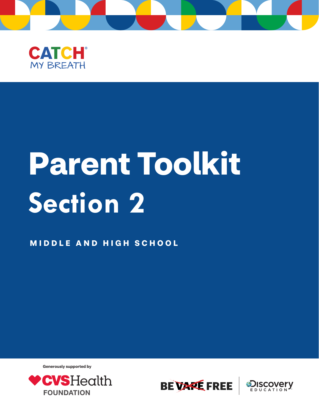



# **Parent Toolkit Section 2**

**MIDDLE AND HIGH SCHOOL** 

**Generously supported by**